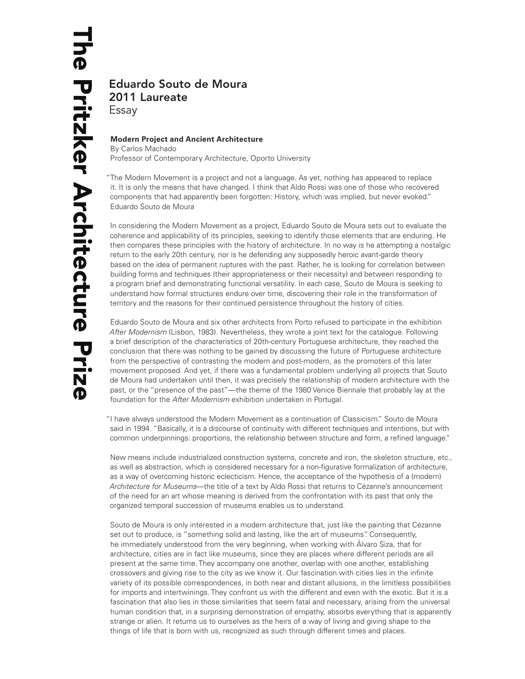# Eduardo Souto de Moura 2011 Laureate Essay

# **Modern Project and Ancient Architecture**

By Carlos Machado Professor of Contemporary Architecture, Oporto University

"The Modern Movement is a project and not a language. As yet, nothing has appeared to replace it. It is only the means that have changed. I think that Aldo Rossi was one of those who recovered components that had apparently been forgotten: History, which was implied, but never evoked." Eduardo Souto de Moura

In considering the Modern Movement as a project, Eduardo Souto de Moura sets out to evaluate the coherence and applicability of its principles, seeking to identify those elements that are enduring. He then compares these principles with the history of architecture. In no way is he attempting a nostalgic return to the early 20th century, nor is he defending any supposedly heroic avant-garde theory based on the idea of permanent ruptures with the past. Rather, he is looking for correlation between building forms and techniques (their appropriateness or their necessity) and between responding to a program brief and demonstrating functional versatility. In each case, Souto de Moura is seeking to understand how formal structures endure over time, discovering their role in the transformation of territory and the reasons for their continued persistence throughout the history of cities.

Eduardo Souto de Moura and six other architects from Porto refused to participate in the exhibition *After Modernism* (Lisbon, 1983). Nevertheless, they wrote a joint text for the catalogue. Following a brief description of the characteristics of 20th-century Portuguese architecture, they reached the conclusion that there was nothing to be gained by discussing the future of Portuguese architecture from the perspective of contrasting the modern and post-modern, as the promoters of this later movement proposed. And yet, if there was a fundamental problem underlying all projects that Souto de Moura had undertaken until then, it was precisely the relationship of modern architecture with the past, or the "presence of the past"—the theme of the 1980 Venice Biennale that probably lay at the foundation for the *After Modernism* exhibition undertaken in Portugal.

"I have always understood the Modern Movement as a continuation of Classicism." Souto de Moura said in 1994. "Basically, it is a discourse of continuity with different techniques and intentions, but with common underpinnings: proportions, the relationship between structure and form, a refined language."

New means include industrialized construction systems, concrete and iron, the skeleton structure, etc., as well as abstraction, which is considered necessary for a non-figurative formalization of architecture, as a way of overcoming historic eclecticism. Hence, the acceptance of the hypothesis of a (modern) *Architecture for Museums*—the title of a text by Aldo Rossi that returns to Cézanne's announcement of the need for an art whose meaning is derived from the confrontation with its past that only the organized temporal succession of museums enables us to understand.

Souto de Moura is only interested in a modern architecture that, just like the painting that Cézanne set out to produce, is "something solid and lasting, like the art of museums". Consequently, he immediately understood from the very beginning, when working with Álvaro Siza, that for architecture, cities are in fact like museums, since they are places where different periods are all present at the same time. They accompany one another, overlap with one another, establishing crossovers and giving rise to the city as we know it. Our fascination with cities lies in the infinite variety of its possible correspondences, in both near and distant allusions, in the limitless possibilities for imports and intertwinings. They confront us with the different and even with the exotic. But it is a fascination that also lies in those similarities that seem fatal and necessary, arising from the universal human condition that, in a surprising demonstration of empathy, absorbs everything that is apparently strange or alien. It returns us to ourselves as the heirs of a way of living and giving shape to the things of life that is born with us, recognized as such through different times and places.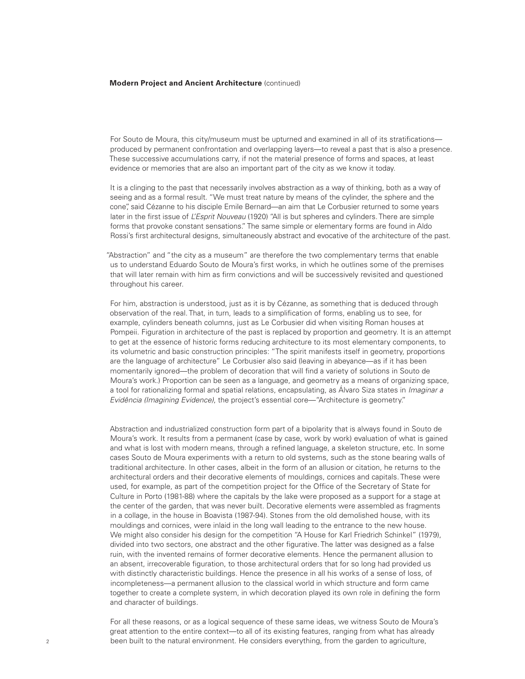For Souto de Moura, this city/museum must be upturned and examined in all of its stratifications produced by permanent confrontation and overlapping layers—to reveal a past that is also a presence. These successive accumulations carry, if not the material presence of forms and spaces, at least evidence or memories that are also an important part of the city as we know it today.

It is a clinging to the past that necessarily involves abstraction as a way of thinking, both as a way of seeing and as a formal result. "We must treat nature by means of the cylinder, the sphere and the cone", said Cézanne to his disciple Emile Bernard—an aim that Le Corbusier returned to some years later in the first issue of *L'Esprit Nouveau* (1920) "All is but spheres and cylinders. There are simple forms that provoke constant sensations." The same simple or elementary forms are found in Aldo Rossi's first architectural designs, simultaneously abstract and evocative of the architecture of the past.

"Abstraction" and "the city as a museum" are therefore the two complementary terms that enable us to understand Eduardo Souto de Moura's first works, in which he outlines some of the premises that will later remain with him as firm convictions and will be successively revisited and questioned throughout his career.

For him, abstraction is understood, just as it is by Cézanne, as something that is deduced through observation of the real. That, in turn, leads to a simplification of forms, enabling us to see, for example, cylinders beneath columns, just as Le Corbusier did when visiting Roman houses at Pompeii. Figuration in architecture of the past is replaced by proportion and geometry. It is an attempt to get at the essence of historic forms reducing architecture to its most elementary components, to its volumetric and basic construction principles: "The spirit manifests itself in geometry, proportions are the language of architecture" Le Corbusier also said (leaving in abeyance—as if it has been momentarily ignored—the problem of decoration that will find a variety of solutions in Souto de Moura's work.) Proportion can be seen as a language, and geometry as a means of organizing space, a tool for rationalizing formal and spatial relations, encapsulating, as Álvaro Siza states in *Imaginar a Evidência (Imagining Evidence)*, the project's essential core—"Architecture is geometry."

Abstraction and industrialized construction form part of a bipolarity that is always found in Souto de Moura's work. It results from a permanent (case by case, work by work) evaluation of what is gained and what is lost with modern means, through a refined language, a skeleton structure, etc. In some cases Souto de Moura experiments with a return to old systems, such as the stone bearing walls of traditional architecture. In other cases, albeit in the form of an allusion or citation, he returns to the architectural orders and their decorative elements of mouldings, cornices and capitals. These were used, for example, as part of the competition project for the Office of the Secretary of State for Culture in Porto (1981-88) where the capitals by the lake were proposed as a support for a stage at the center of the garden, that was never built. Decorative elements were assembled as fragments in a collage, in the house in Boavista (1987-94). Stones from the old demolished house, with its mouldings and cornices, were inlaid in the long wall leading to the entrance to the new house. We might also consider his design for the competition "A House for Karl Friedrich Schinkel" (1979), divided into two sectors, one abstract and the other figurative. The latter was designed as a false ruin, with the invented remains of former decorative elements. Hence the permanent allusion to an absent, irrecoverable figuration, to those architectural orders that for so long had provided us with distinctly characteristic buildings. Hence the presence in all his works of a sense of loss, of incompleteness—a permanent allusion to the classical world in which structure and form came together to create a complete system, in which decoration played its own role in defining the form and character of buildings.

For all these reasons, or as a logical sequence of these same ideas, we witness Souto de Moura's great attention to the entire context—to all of its existing features, ranging from what has already been built to the natural environment. He considers everything, from the garden to agriculture,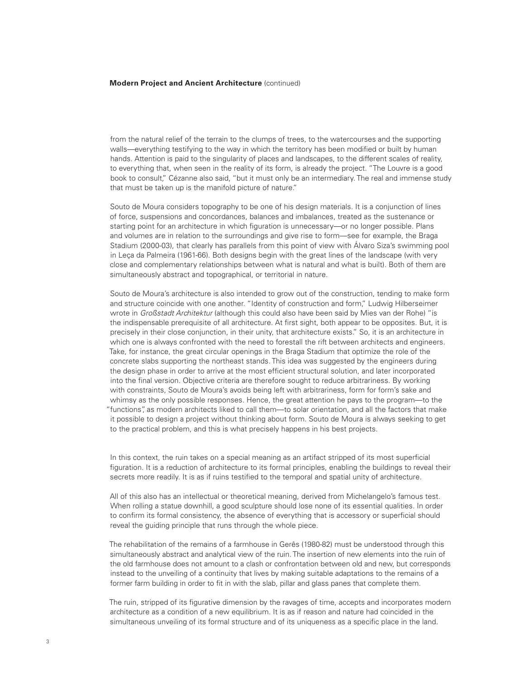from the natural relief of the terrain to the clumps of trees, to the watercourses and the supporting walls—everything testifying to the way in which the territory has been modified or built by human hands. Attention is paid to the singularity of places and landscapes, to the different scales of reality, to everything that, when seen in the reality of its form, is already the project. "The Louvre is a good book to consult," Cézanne also said, "but it must only be an intermediary. The real and immense study that must be taken up is the manifold picture of nature."

Souto de Moura considers topography to be one of his design materials. It is a conjunction of lines of force, suspensions and concordances, balances and imbalances, treated as the sustenance or starting point for an architecture in which figuration is unnecessary—or no longer possible. Plans and volumes are in relation to the surroundings and give rise to form—see for example, the Braga Stadium (2000-03), that clearly has parallels from this point of view with Álvaro Siza's swimming pool in Leça da Palmeira (1961-66). Both designs begin with the great lines of the landscape (with very close and complementary relationships between what is natural and what is built). Both of them are simultaneously abstract and topographical, or territorial in nature.

Souto de Moura's architecture is also intended to grow out of the construction, tending to make form and structure coincide with one another. "Identity of construction and form," Ludwig Hilberseimer wrote in *Großstadt Architektur* (although this could also have been said by Mies van der Rohe) "is the indispensable prerequisite of all architecture. At first sight, both appear to be opposites. But, it is precisely in their close conjunction, in their unity, that architecture exists." So, it is an architecture in which one is always confronted with the need to forestall the rift between architects and engineers. Take, for instance, the great circular openings in the Braga Stadium that optimize the role of the concrete slabs supporting the northeast stands. This idea was suggested by the engineers during the design phase in order to arrive at the most efficient structural solution, and later incorporated into the final version. Objective criteria are therefore sought to reduce arbitrariness. By working with constraints, Souto de Moura's avoids being left with arbitrariness, form for form's sake and whimsy as the only possible responses. Hence, the great attention he pays to the program—to the "functions", as modern architects liked to call them—to solar orientation, and all the factors that make it possible to design a project without thinking about form. Souto de Moura is always seeking to get to the practical problem, and this is what precisely happens in his best projects.

In this context, the ruin takes on a special meaning as an artifact stripped of its most superficial figuration. It is a reduction of architecture to its formal principles, enabling the buildings to reveal their secrets more readily. It is as if ruins testified to the temporal and spatial unity of architecture.

All of this also has an intellectual or theoretical meaning, derived from Michelangelo's famous test. When rolling a statue downhill, a good sculpture should lose none of its essential qualities. In order to confirm its formal consistency, the absence of everything that is accessory or superficial should reveal the guiding principle that runs through the whole piece.

The rehabilitation of the remains of a farmhouse in Gerês (1980-82) must be understood through this simultaneously abstract and analytical view of the ruin. The insertion of new elements into the ruin of the old farmhouse does not amount to a clash or confrontation between old and new, but corresponds instead to the unveiling of a continuity that lives by making suitable adaptations to the remains of a former farm building in order to fit in with the slab, pillar and glass panes that complete them.

The ruin, stripped of its figurative dimension by the ravages of time, accepts and incorporates modern architecture as a condition of a new equilibrium. It is as if reason and nature had coincided in the simultaneous unveiling of its formal structure and of its uniqueness as a specific place in the land.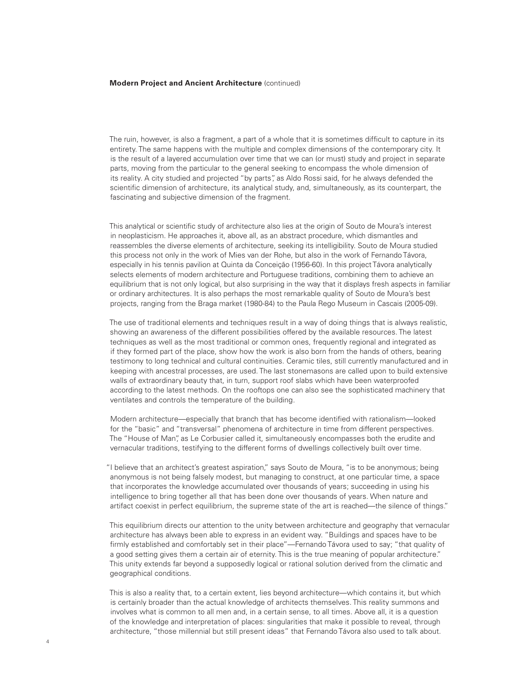The ruin, however, is also a fragment, a part of a whole that it is sometimes difficult to capture in its entirety. The same happens with the multiple and complex dimensions of the contemporary city. It is the result of a layered accumulation over time that we can (or must) study and project in separate parts, moving from the particular to the general seeking to encompass the whole dimension of its reality. A city studied and projected "by parts", as Aldo Rossi said, for he always defended the scientific dimension of architecture, its analytical study, and, simultaneously, as its counterpart, the fascinating and subjective dimension of the fragment.

This analytical or scientific study of architecture also lies at the origin of Souto de Moura's interest in neoplasticism. He approaches it, above all, as an abstract procedure, which dismantles and reassembles the diverse elements of architecture, seeking its intelligibility. Souto de Moura studied this process not only in the work of Mies van der Rohe, but also in the work of Fernando Távora, especially in his tennis pavilion at Quinta da Conceição (1956-60). In this project Távora analytically selects elements of modern architecture and Portuguese traditions, combining them to achieve an equilibrium that is not only logical, but also surprising in the way that it displays fresh aspects in familiar or ordinary architectures. It is also perhaps the most remarkable quality of Souto de Moura's best projects, ranging from the Braga market (1980-84) to the Paula Rego Museum in Cascais (2005-09).

The use of traditional elements and techniques result in a way of doing things that is always realistic, showing an awareness of the different possibilities offered by the available resources. The latest techniques as well as the most traditional or common ones, frequently regional and integrated as if they formed part of the place, show how the work is also born from the hands of others, bearing testimony to long technical and cultural continuities. Ceramic tiles, still currently manufactured and in keeping with ancestral processes, are used. The last stonemasons are called upon to build extensive walls of extraordinary beauty that, in turn, support roof slabs which have been waterproofed according to the latest methods. On the rooftops one can also see the sophisticated machinery that ventilates and controls the temperature of the building.

Modern architecture—especially that branch that has become identified with rationalism—looked for the "basic" and "transversal" phenomena of architecture in time from different perspectives. The "House of Man", as Le Corbusier called it, simultaneously encompasses both the erudite and vernacular traditions, testifying to the different forms of dwellings collectively built over time.

"I believe that an architect's greatest aspiration," says Souto de Moura, "is to be anonymous; being anonymous is not being falsely modest, but managing to construct, at one particular time, a space that incorporates the knowledge accumulated over thousands of years; succeeding in using his intelligence to bring together all that has been done over thousands of years. When nature and artifact coexist in perfect equilibrium, the supreme state of the art is reached—the silence of things."

This equilibrium directs our attention to the unity between architecture and geography that vernacular architecture has always been able to express in an evident way. "Buildings and spaces have to be firmly established and comfortably set in their place"—Fernando Távora used to say; "that quality of a good setting gives them a certain air of eternity. This is the true meaning of popular architecture." This unity extends far beyond a supposedly logical or rational solution derived from the climatic and geographical conditions.

This is also a reality that, to a certain extent, lies beyond architecture—which contains it, but which is certainly broader than the actual knowledge of architects themselves. This reality summons and involves what is common to all men and, in a certain sense, to all times. Above all, it is a question of the knowledge and interpretation of places: singularities that make it possible to reveal, through architecture, "those millennial but still present ideas" that Fernando Távora also used to talk about.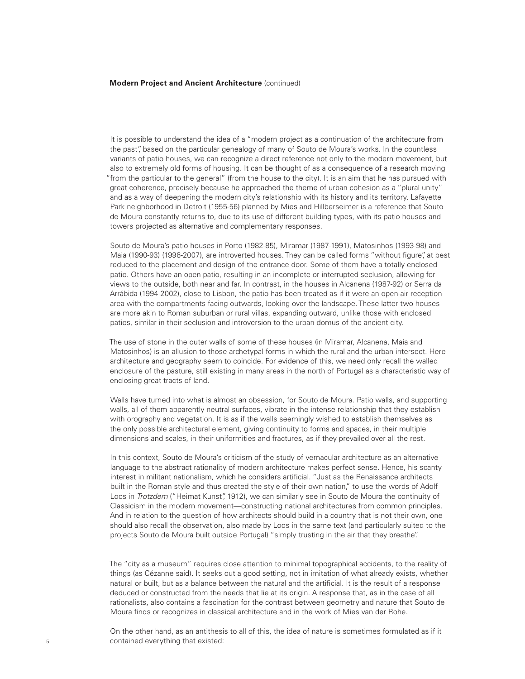It is possible to understand the idea of a "modern project as a continuation of the architecture from the past", based on the particular genealogy of many of Souto de Moura's works. In the countless variants of patio houses, we can recognize a direct reference not only to the modern movement, but also to extremely old forms of housing. It can be thought of as a consequence of a research moving "from the particular to the general" (from the house to the city). It is an aim that he has pursued with great coherence, precisely because he approached the theme of urban cohesion as a "plural unity" and as a way of deepening the modern city's relationship with its history and its territory. Lafayette Park neighborhood in Detroit (1955-56) planned by Mies and Hillberseimer is a reference that Souto de Moura constantly returns to, due to its use of different building types, with its patio houses and towers projected as alternative and complementary responses.

Souto de Moura's patio houses in Porto (1982-85), Miramar (1987-1991), Matosinhos (1993-98) and Maia (1990-93) (1996-2007), are introverted houses. They can be called forms "without figure", at best reduced to the placement and design of the entrance door. Some of them have a totally enclosed patio. Others have an open patio, resulting in an incomplete or interrupted seclusion, allowing for views to the outside, both near and far. In contrast, in the houses in Alcanena (1987-92) or Serra da Arrábida (1994-2002), close to Lisbon, the patio has been treated as if it were an open-air reception area with the compartments facing outwards, looking over the landscape. These latter two houses are more akin to Roman suburban or rural villas, expanding outward, unlike those with enclosed patios, similar in their seclusion and introversion to the urban domus of the ancient city.

The use of stone in the outer walls of some of these houses (in Miramar, Alcanena, Maia and Matosinhos) is an allusion to those archetypal forms in which the rural and the urban intersect. Here architecture and geography seem to coincide. For evidence of this, we need only recall the walled enclosure of the pasture, still existing in many areas in the north of Portugal as a characteristic way of enclosing great tracts of land.

Walls have turned into what is almost an obsession, for Souto de Moura. Patio walls, and supporting walls, all of them apparently neutral surfaces, vibrate in the intense relationship that they establish with orography and vegetation. It is as if the walls seemingly wished to establish themselves as the only possible architectural element, giving continuity to forms and spaces, in their multiple dimensions and scales, in their uniformities and fractures, as if they prevailed over all the rest.

In this context, Souto de Moura's criticism of the study of vernacular architecture as an alternative language to the abstract rationality of modern architecture makes perfect sense. Hence, his scanty interest in militant nationalism, which he considers artificial. "Just as the Renaissance architects built in the Roman style and thus created the style of their own nation," to use the words of Adolf Loos in *Trotzdem* ("Heimat Kunst", 1912), we can similarly see in Souto de Moura the continuity of Classicism in the modern movement—constructing national architectures from common principles. And in relation to the question of how architects should build in a country that is not their own, one should also recall the observation, also made by Loos in the same text (and particularly suited to the projects Souto de Moura built outside Portugal) "simply trusting in the air that they breathe".

The "city as a museum" requires close attention to minimal topographical accidents, to the reality of things (as Cézanne said). It seeks out a good setting, not in imitation of what already exists, whether natural or built, but as a balance between the natural and the artificial. It is the result of a response deduced or constructed from the needs that lie at its origin. A response that, as in the case of all rationalists, also contains a fascination for the contrast between geometry and nature that Souto de Moura finds or recognizes in classical architecture and in the work of Mies van der Rohe.

On the other hand, as an antithesis to all of this, the idea of nature is sometimes formulated as if it contained everything that existed: